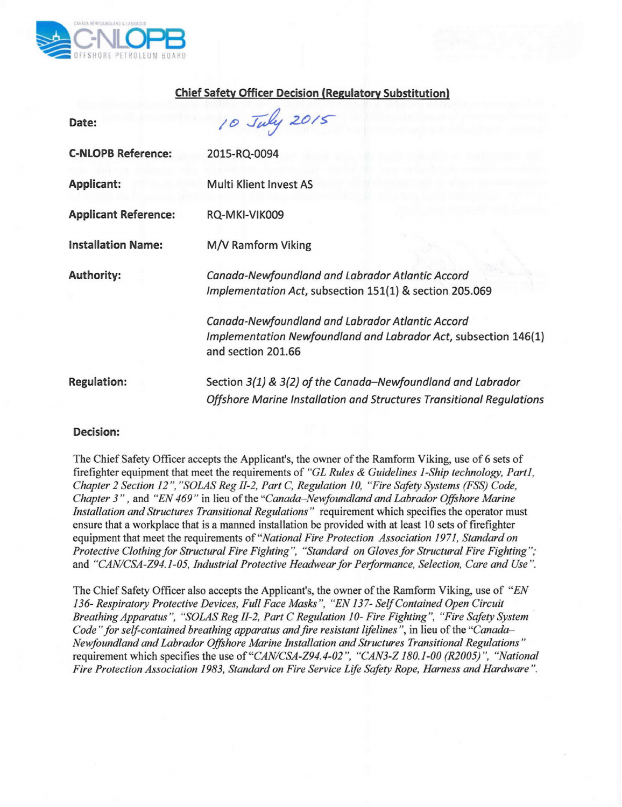

## Chief Safety Officer Decision (Regulatory Substitution)

| Date:                       | 10 July 2015                                                                                                                              |
|-----------------------------|-------------------------------------------------------------------------------------------------------------------------------------------|
| <b>C-NLOPB Reference:</b>   | 2015-RQ-0094                                                                                                                              |
| Applicant:                  | <b>Multi Klient Invest AS</b>                                                                                                             |
| <b>Applicant Reference:</b> | RQ-MKI-VIK009                                                                                                                             |
| <b>Installation Name:</b>   | M/V Ramform Viking                                                                                                                        |
| <b>Authority:</b>           | Canada-Newfoundland and Labrador Atlantic Accord<br>Implementation Act, subsection 151(1) & section 205.069                               |
|                             | Canada-Newfoundland and Labrador Atlantic Accord<br>Implementation Newfoundland and Labrador Act, subsection 146(1)<br>and section 201.66 |
| <b>Regulation:</b>          | Section 3(1) & 3(2) of the Canada-Newfoundland and Labrador<br>Offshore Marine Installation and Structures Transitional Regulations       |

## Decision:

The Chief Safety Officer accepts the Applicant's, the owner of the Ramfonn Viking, use of6 sets of firefighter equipment that meet the requirements of *"GL Rules* & *Guidelines I-Ship technology, Parti, Chapter* 2 *Section* 12 ", *"SaLAS Reg 11-2,Part* C, *Regulation 10, "Fire Safety Systems (FSS) Code, Chapter* 3", and *"EN* 469" in lieu of the *"Canada-Newfoundland and Labrador Offshore Marine Installation and Structures Transitional Regulations"* requirement which specifies the operator must ensure that a workplace that is a manned installation be provided with at least 10 sets of firefighter equipment that meet the requirements of *"National Fire Protection Association* 1971, *Standard on Protective Clothing for Structural Fire Fighting ", "Standard on Gloves for Structural Fire Fighting ":* and *"CANICSA-Z94.1-05, Industrial Protective Headwear for Performance, Selection, Care and Use".*

The Chief Safety Officer also accepts the Applicant's, the owner of the Ramfonn Viking, use of *"EN 136- Respiratory Protective Devices, Full Face Masks", "EN* 137- *Self Contained Open Circuit Breathing Apparatus ". "SaLAS Reg 11-2,Part* C*Regulation 10- Fire Fighting ". "Fire Safety System Code" for self-contained breathing apparatus and fire resistant lifelines",* in lieu of the *"Canada-Newfoundland and Labrador Offshore Marine Installation and Structures Transitional Regulations"* requirement which specifies the use of *"CANICSA-Z94. 4-02 ". "CAN3-Z 180.1-00 (R2005) ", "National Fire Protection Association* 1983, *Standard on Fire Service Life Safety Rope, Harness and Hardware ".*